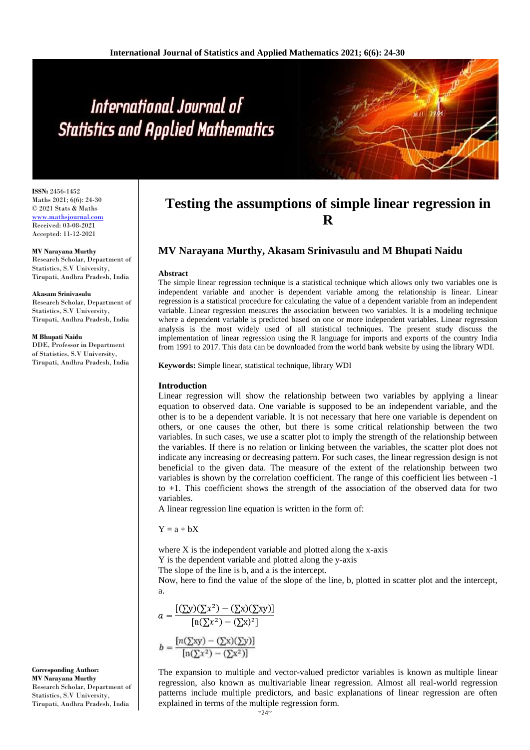# International Journal of **Statistics and Applied Mathematics**

**ISSN:** 2456-1452 Maths 2021; 6(6): 24-30 © 2021 Stats & Maths <www.mathsjournal.com> Received: 03-08-2021 Accepted: 11-12-2021

**MV Narayana Murthy** Research Scholar, Department of Statistics, S.V University, Tirupati, Andhra Pradesh, India

#### **Akasam Srinivasulu**

Research Scholar, Department of Statistics, S.V University, Tirupati, Andhra Pradesh, India

**M Bhupati Naidu**

**Corresponding Author: MV Narayana Murthy**

Research Scholar, Department of Statistics, S.V University, Tirupati, Andhra Pradesh, India

DDE, Professor in Department of Statistics, S.V University, Tirupati, Andhra Pradesh, India

# **Testing the assumptions of simple linear regression in R**

## **MV Narayana Murthy, Akasam Srinivasulu and M Bhupati Naidu**

#### **Abstract**

The simple linear regression technique is a statistical technique which allows only two variables one is independent variable and another is dependent variable among the relationship is linear. Linear regression is a statistical procedure for calculating the value of a dependent variable from an independent variable. Linear regression measures the association between two variables. It is a modeling technique where a dependent variable is predicted based on one or more independent variables. Linear regression analysis is the most widely used of all statistical techniques. The present study discuss the implementation of linear regression using the R language for imports and exports of the country India from 1991 to 2017. This data can be downloaded from the world bank website by using the library WDI.

**Keywords:** Simple linear, statistical technique, library WDI

#### **Introduction**

Linear regression will show the relationship between two variables by applying a linear equation to observed data. One variable is supposed to be an independent variable, and the other is to be a dependent variable. It is not necessary that here one variable is dependent on others, or one causes the other, but there is some critical relationship between the two variables. In such cases, we use a scatter plot to imply the strength of the relationship between the variables. If there is no relation or linking between the variables, the scatter plot does not indicate any increasing or decreasing pattern. For such cases, the linear regression design is not beneficial to the given data. The measure of the extent of the relationship between two variables is shown by the correlation coefficient. The range of this coefficient lies between -1 to +1. This coefficient shows the strength of the association of the observed data for two variables.

A linear regression line equation is written in the form of:

 $Y = a + bX$ 

where X is the independent variable and plotted along the x-axis Y is the dependent variable and plotted along the y-axis

The slope of the line is b, and a is the intercept.

Now, here to find the value of the slope of the line, b, plotted in scatter plot and the intercept, a.

$$
a = \frac{[(\sum y)(\sum x^2) - (\sum x)(\sum xy)]}{[n(\sum x^2) - (\sum x)^2]}
$$

$$
b = \frac{[n(\sum xy) - (\sum x)(\sum y)]}{[n(\sum x^2) - (\sum x^2)]}
$$

The expansion to multiple and vector-valued predictor variables is known as multiple linear regression, also known as multivariable linear regression. Almost all real-world regression patterns include multiple predictors, and basic explanations of linear regression are often explained in terms of the multiple regression form.

 $~\sim$ 24~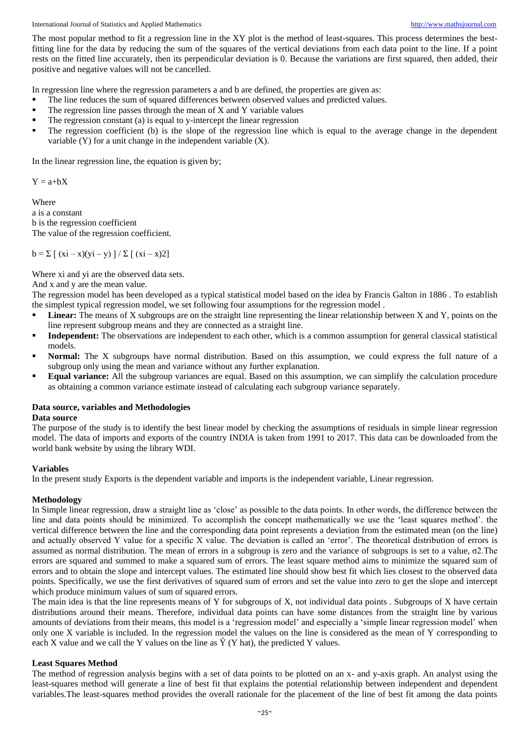The most popular method to fit a regression line in the XY plot is the method of least-squares. This process determines the bestfitting line for the data by reducing the sum of the squares of the vertical deviations from each data point to the line. If a point rests on the fitted line accurately, then its perpendicular deviation is 0. Because the variations are first squared, then added, their positive and negative values will not be cancelled.

In regression line where the regression parameters a and b are defined, the properties are given as:

- The line reduces the sum of squared differences between observed values and predicted values.
- The regression line passes through the mean of X and Y variable values
- The regression constant (a) is equal to y-intercept the linear regression
- The regression coefficient (b) is the slope of the regression line which is equal to the average change in the dependent variable (Y) for a unit change in the independent variable (X).

In the linear regression line, the equation is given by;

 $Y = a + bX$ 

Where

a is a constant b is the regression coefficient The value of the regression coefficient.

 $b = \sum [ (xi - x)(yi - y)] / \sum [ (xi - x)2]$ 

Where xi and yi are the observed data sets.

And x and y are the mean value.

The regression model has been developed as a typical statistical model based on the idea by Francis Galton in 1886 . To establish the simplest typical regression model, we set following four assumptions for the regression model .

- **Linear:** The means of X subgroups are on the straight line representing the linear relationship between X and Y, points on the line represent subgroup means and they are connected as a straight line.
- **Independent:** The observations are independent to each other, which is a common assumption for general classical statistical models.
- **Normal:** The X subgroups have normal distribution. Based on this assumption, we could express the full nature of a subgroup only using the mean and variance without any further explanation.
- **Equal variance:** All the subgroup variances are equal. Based on this assumption, we can simplify the calculation procedure as obtaining a common variance estimate instead of calculating each subgroup variance separately.

## **Data source, variables and Methodologies**

#### **Data source**

The purpose of the study is to identify the best linear model by checking the assumptions of residuals in simple linear regression model. The data of imports and exports of the country INDIA is taken from 1991 to 2017. This data can be downloaded from the world bank website by using the library WDI.

#### **Variables**

In the present study Exports is the dependent variable and imports is the independent variable, Linear regression.

#### **Methodology**

In Simple linear regression, draw a straight line as 'close' as possible to the data points. In other words, the difference between the line and data points should be minimized. To accomplish the concept mathematically we use the 'least squares method'. the vertical difference between the line and the corresponding data point represents a deviation from the estimated mean (on the line) and actually observed Y value for a specific X value. The deviation is called an 'error'. The theoretical distribution of errors is assumed as normal distribution. The mean of errors in a subgroup is zero and the variance of subgroups is set to a value, σ2.The errors are squared and summed to make a squared sum of errors. The least square method aims to minimize the squared sum of errors and to obtain the slope and intercept values. The estimated line should show best fit which lies closest to the observed data points. Specifically, we use the first derivatives of squared sum of errors and set the value into zero to get the slope and intercept which produce minimum values of sum of squared errors.

The main idea is that the line represents means of Y for subgroups of X, not individual data points . Subgroups of X have certain distributions around their means. Therefore, individual data points can have some distances from the straight line by various amounts of deviations from their means, this model is a 'regression model' and especially a 'simple linear regression model' when only one X variable is included. In the regression model the values on the line is considered as the mean of Y corresponding to each X value and we call the Y values on the line as  $\hat{Y}$  (Y hat), the predicted Y values.

#### **Least Squares Method**

The method of regression analysis begins with a set of data points to be plotted on an x- and y-axis graph. An analyst using the least-squares method will generate a line of best fit that explains the potential relationship between independent and dependent variables.The least-squares method provides the overall rationale for the placement of the line of best fit among the data points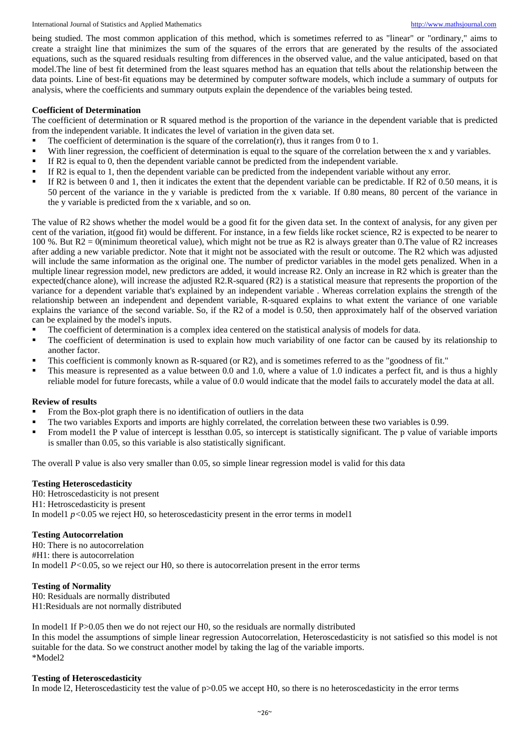being studied. The most common application of this method, which is sometimes referred to as "linear" or "ordinary," aims to create a straight line that minimizes the sum of the squares of the errors that are generated by the results of the associated equations, such as the squared residuals resulting from differences in the observed value, and the value anticipated, based on that model.The line of best fit determined from the least squares method has an equation that tells about the relationship between the data points. Line of best-fit equations may be determined by computer software models, which include a summary of outputs for analysis, where the coefficients and summary outputs explain the dependence of the variables being tested.

#### **Coefficient of Determination**

The coefficient of determination or R squared method is the proportion of the variance in the dependent variable that is predicted from the independent variable. It indicates the level of variation in the given data set.

- The coefficient of determination is the square of the correlation(r), thus it ranges from 0 to 1.
- With liner regression, the coefficient of determination is equal to the square of the correlation between the x and y variables.
- If R2 is equal to 0, then the dependent variable cannot be predicted from the independent variable.
- If R2 is equal to 1, then the dependent variable can be predicted from the independent variable without any error.
- If R2 is between 0 and 1, then it indicates the extent that the dependent variable can be predictable. If R2 of 0.50 means, it is 50 percent of the variance in the y variable is predicted from the x variable. If 0.80 means, 80 percent of the variance in the y variable is predicted from the x variable, and so on.

The value of R2 shows whether the model would be a good fit for the given data set. In the context of analysis, for any given per cent of the variation, it(good fit) would be different. For instance, in a few fields like rocket science, R2 is expected to be nearer to 100 %. But R2 = 0(minimum theoretical value), which might not be true as R2 is always greater than 0.The value of R2 increases after adding a new variable predictor. Note that it might not be associated with the result or outcome. The R2 which was adjusted will include the same information as the original one. The number of predictor variables in the model gets penalized. When in a multiple linear regression model, new predictors are added, it would increase R2. Only an increase in R2 which is greater than the expected(chance alone), will increase the adjusted R2.R-squared (R2) is a statistical measure that represents the proportion of the variance for a dependent variable that's explained by an independent variable . Whereas correlation explains the strength of the relationship between an independent and dependent variable, R-squared explains to what extent the variance of one variable explains the variance of the second variable. So, if the R2 of a model is 0.50, then approximately half of the observed variation can be explained by the model's inputs.

- The coefficient of determination is a complex idea centered on the statistical analysis of models for data.
- The coefficient of determination is used to explain how much variability of one factor can be caused by its relationship to another factor.
- This coefficient is commonly known as R-squared (or R2), and is sometimes referred to as the "goodness of fit."
- This measure is represented as a value between 0.0 and 1.0, where a value of 1.0 indicates a perfect fit, and is thus a highly reliable model for future forecasts, while a value of 0.0 would indicate that the model fails to accurately model the data at all.

#### **Review of results**

- From the Box-plot graph there is no identification of outliers in the data
- The two variables Exports and imports are highly correlated, the correlation between these two variables is 0.99.
- From model1 the P value of intercept is lessthan 0.05, so intercept is statistically significant. The p value of variable imports is smaller than 0.05, so this variable is also statistically significant.

The overall P value is also very smaller than 0.05, so simple linear regression model is valid for this data

#### **Testing Heteroscedasticity**

H0: Hetroscedasticity is not present H1: Hetroscedasticity is present In model1  $p$ <0.05 we reject H0, so heteroscedasticity present in the error terms in model1

#### **Testing Autocorrelation**

H0: There is no autocorrelation #H1: there is autocorrelation In model 1 *P*<0.05, so we reject our H0, so there is autocorrelation present in the error terms

#### **Testing of Normality**

H0: Residuals are normally distributed H1:Residuals are not normally distributed

In model1 If P>0.05 then we do not reject our H0, so the residuals are normally distributed In this model the assumptions of simple linear regression Autocorrelation, Heteroscedasticity is not satisfied so this model is not suitable for the data. So we construct another model by taking the lag of the variable imports. \*Model2

#### **Testing of Heteroscedasticity**

In mode 12, Heteroscedasticity test the value of  $p>0.05$  we accept H0, so there is no heteroscedasticity in the error terms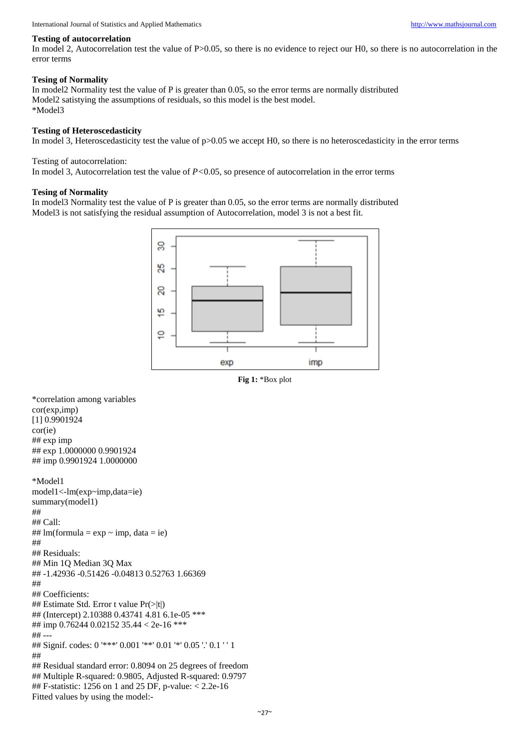#### **Testing of autocorrelation**

In model 2, Autocorrelation test the value of P>0.05, so there is no evidence to reject our H0, so there is no autocorrelation in the error terms

#### **Tesing of Normality**

In model2 Normality test the value of P is greater than 0.05, so the error terms are normally distributed Model2 satistying the assumptions of residuals, so this model is the best model. \*Model3

#### **Testing of Heteroscedasticity**

In model 3, Heteroscedasticity test the value of  $p>0.05$  we accept H0, so there is no heteroscedasticity in the error terms

#### Testing of autocorrelation:

In model 3, Autocorrelation test the value of *P*<0.05, so presence of autocorrelation in the error terms

#### **Tesing of Normality**

In model3 Normality test the value of P is greater than 0.05, so the error terms are normally distributed Model3 is not satisfying the residual assumption of Autocorrelation, model 3 is not a best fit.



**Fig 1:** \*Box plot

\*correlation among variables cor(exp,imp) [1] 0.9901924 cor(ie) ## exp imp ## exp 1.0000000 0.9901924 ## imp 0.9901924 1.0000000 \*Model1 model1<-lm(exp~imp,data=ie) summary(model1) ## ## Call: ## lm(formula =  $exp \sim imp$ , data = ie) ## ## Residuals:

## Min 1Q Median 3Q Max ## -1.42936 -0.51426 -0.04813 0.52763 1.66369 ## ## Coefficients:

## Estimate Std. Error t value Pr(>|t|)

## (Intercept) 2.10388 0.43741 4.81 6.1e-05 \*\*\*

## imp 0.76244 0.02152 35.44 < 2e-16 \*\*\*

## ---

## Signif. codes: 0 '\*\*\*' 0.001 '\*\*' 0.01 '\*' 0.05 '.' 0.1 ' ' 1 ##

## Residual standard error: 0.8094 on 25 degrees of freedom ## Multiple R-squared: 0.9805, Adjusted R-squared: 0.9797 ## F-statistic: 1256 on 1 and 25 DF, p-value: < 2.2e-16 Fitted values by using the model:-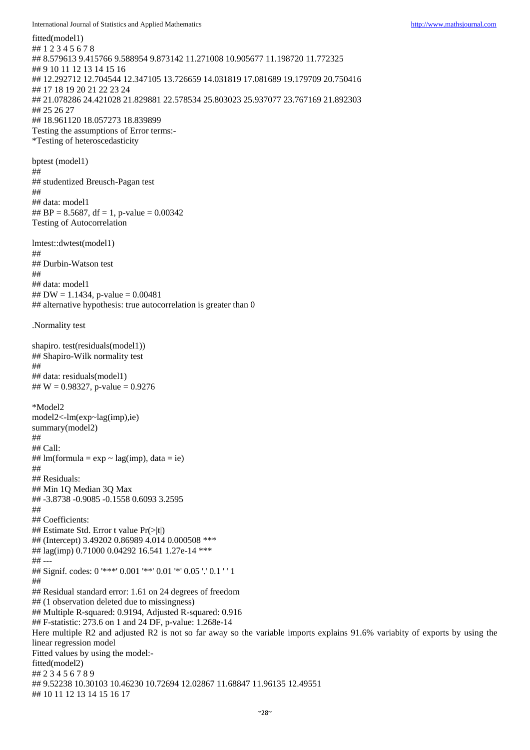```
fitted(model1)
## 1 2 3 4 5 6 7 8 
## 8.579613 9.415766 9.588954 9.873142 11.271008 10.905677 11.198720 11.772325 
## 9 10 11 12 13 14 15 16 
## 12.292712 12.704544 12.347105 13.726659 14.031819 17.081689 19.179709 20.750416 
## 17 18 19 20 21 22 23 24 
## 21.078286 24.421028 21.829881 22.578534 25.803023 25.937077 23.767169 21.892303 
## 25 26 27 
## 18.961120 18.057273 18.839899
Testing the assumptions of Error terms:-
*Testing of heteroscedasticity
bptest (model1)
## 
## studentized Breusch-Pagan test
## 
## data: model1
## BP = 8.5687, df = 1, p-value = 0.00342Testing of Autocorrelation
lmtest::dwtest(model1)
## 
## Durbin-Watson test
## 
## data: model1
## DW = 1.1434, p-value = 0.00481## alternative hypothesis: true autocorrelation is greater than 0
.Normality test
shapiro. test(residuals(model1))
## Shapiro-Wilk normality test
## 
## data: residuals(model1)
## W = 0.98327, p-value = 0.9276
*Model2
model2<-lm(exp~lag(imp),ie)
summary(model2)
## 
## Call:
## lm(formula = \exp \sim \text{lag}(\text{imp}), data = ie)
## 
## Residuals:
## Min 1Q Median 3Q Max 
## -3.8738 -0.9085 -0.1558 0.6093 3.2595 
## 
## Coefficients:
## Estimate Std. Error t value Pr(>|t|)
## (Intercept) 3.49202 0.86989 4.014 0.000508 ***
## lag(imp) 0.71000 0.04292 16.541 1.27e-14 ***
## ---
## Signif. codes: 0 '***' 0.001 '**' 0.01 '*' 0.05 '.' 0.1 ' ' 1
## 
## Residual standard error: 1.61 on 24 degrees of freedom
## (1 observation deleted due to missingness)
## Multiple R-squared: 0.9194, Adjusted R-squared: 0.916 
## F-statistic: 273.6 on 1 and 24 DF, p-value: 1.268e-14
Here multiple R2 and adjusted R2 is not so far away so the variable imports explains 91.6% variabity of exports by using the 
linear regression model
Fitted values by using the model:-
fitted(model2)
## 2 3 4 5 6 7 8 9 
## 9.52238 10.30103 10.46230 10.72694 12.02867 11.68847 11.96135 12.49551 
## 10 11 12 13 14 15 16 17
```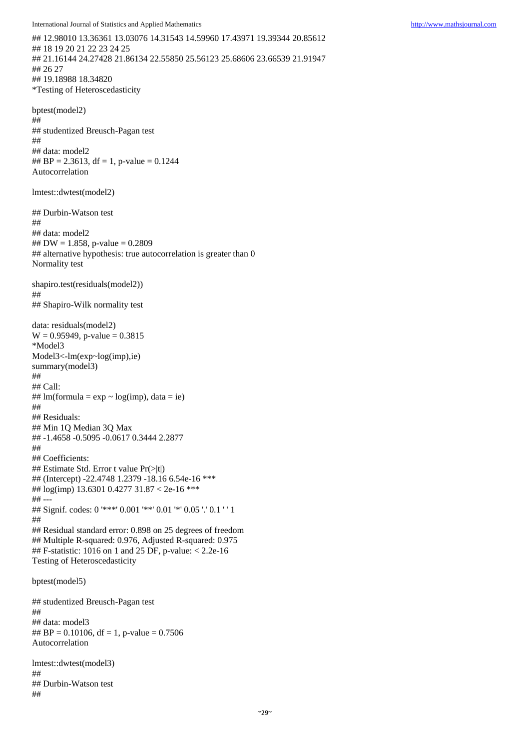## 12.98010 13.36361 13.03076 14.31543 14.59960 17.43971 19.39344 20.85612 ## 18 19 20 21 22 23 24 25 ## 21.16144 24.27428 21.86134 22.55850 25.56123 25.68606 23.66539 21.91947 ## 26 27 ## 19.18988 18.34820 \*Testing of Heteroscedasticity

bptest(model2) ## ## studentized Breusch-Pagan test ## ## data: model2 ## BP = 2.3613, df = 1, p-value =  $0.1244$ Autocorrelation

lmtest::dwtest(model2)

## Durbin-Watson test ## ## data: model2 ## DW = 1.858, p-value =  $0.2809$ ## alternative hypothesis: true autocorrelation is greater than 0 Normality test

shapiro.test(residuals(model2)) ##

## Shapiro-Wilk normality test

data: residuals(model2)  $W = 0.95949$ , p-value = 0.3815 \*Model3 Model3<-lm(exp~log(imp),ie) summary(model3) ## ## Call: ##  $lm(formula = exp ~ log(imp)$ , data = ie) ## ## Residuals: ## Min 1Q Median 3Q Max ## -1.4658 -0.5095 -0.0617 0.3444 2.2877 ## ## Coefficients: ## Estimate Std. Error t value Pr(>|t|) ## (Intercept) -22.4748 1.2379 -18.16 6.54e-16 \*\*\* ## log(imp) 13.6301 0.4277 31.87 < 2e-16 \*\*\* ## --- ## Signif. codes: 0 '\*\*\*' 0.001 '\*\*' 0.01 '\*' 0.05 '.' 0.1 ' ' 1 ## ## Residual standard error: 0.898 on 25 degrees of freedom ## Multiple R-squared: 0.976, Adjusted R-squared: 0.975 ## F-statistic: 1016 on 1 and 25 DF, p-value: < 2.2e-16 Testing of Heteroscedasticity

bptest(model5)

## studentized Breusch-Pagan test ## ## data: model3 ## BP = 0.10106, df = 1, p-value =  $0.7506$ Autocorrelation

lmtest::dwtest(model3) ## ## Durbin-Watson test ##